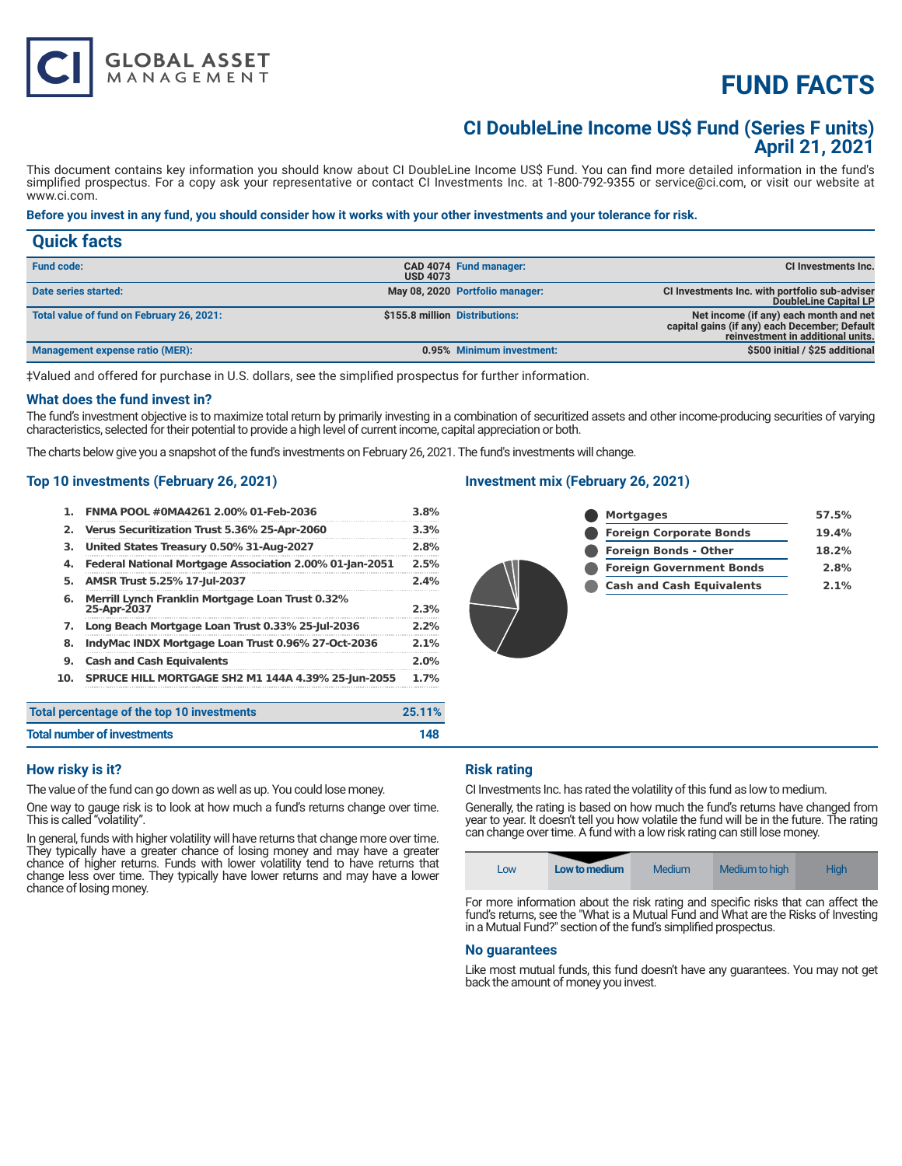# **FUND FACTS**

### **CI DoubleLine Income US\$ Fund (Series F units) April 21, 2021**

This document contains key information you should know about CI DoubleLine Income US\$ Fund. You can find more detailed information in the fund's simplified prospectus. For a copy ask your representative or contact CI Investments Inc. at 1-800-792-9355 or service@ci.com, or visit our website at www.ci.com.

#### **Before you invest in any fund, you should consider how it works with your other investments and your tolerance for risk.**

| <b>Quick facts</b>                        |                 |                                 |                                                                                                                              |
|-------------------------------------------|-----------------|---------------------------------|------------------------------------------------------------------------------------------------------------------------------|
| <b>Fund code:</b>                         | <b>USD 4073</b> | CAD 4074 Fund manager:          | CI Investments Inc.                                                                                                          |
| Date series started:                      |                 | May 08, 2020 Portfolio manager: | CI Investments Inc. with portfolio sub-adviser<br>DoubleLine Capital LP                                                      |
| Total value of fund on February 26, 2021: |                 | \$155.8 million Distributions:  | Net income (if any) each month and net<br>capital gains (if any) each December; Default<br>reinvestment in additional units. |
| Management expense ratio (MER):           |                 | 0.95% Minimum investment:       | \$500 initial / \$25 additional                                                                                              |

‡Valued and offered for purchase in U.S. dollars, see the simplified prospectus for further information.

#### **What does the fund invest in?**

The fund's investment objective is to maximize total return by primarily investing in a combination of securitized assets and other income-producing securities of varying characteristics, selected for their potential to provide a high level of current income, capital appreciation or both.

The charts below give you a snapshot of the fund's investments on February 26, 2021. The fund's investments will change.

#### **Top 10 investments (February 26, 2021)**

| 1.                          | FNMA POOL #0MA4261 2.00% 01-Feb-2036                                   | 3.8%   |
|-----------------------------|------------------------------------------------------------------------|--------|
| 2.                          | Verus Securitization Trust 5.36% 25-Apr-2060                           | 3.3%   |
| з.                          | United States Treasury 0.50% 31-Aug-2027                               | 2.8%   |
| 4.                          | Federal National Mortgage Association 2.00% 01-Jan-2051                | 2.5%   |
| 5.                          | AMSR Trust 5.25% 17-Jul-2037                                           | 2.4%   |
| 6.                          | <b>Merrill Lynch Franklin Mortgage Loan Trust 0.32%</b><br>25-Apr-2037 | 2.3%   |
| 7.                          | Long Beach Mortgage Loan Trust 0.33% 25-Jul-2036                       | 2.2%   |
| 8.                          | IndyMac INDX Mortgage Loan Trust 0.96% 27-Oct-2036                     | 2.1%   |
| 9.                          | <b>Cash and Cash Equivalents</b>                                       | 2.0%   |
| 10.                         | <b>SPRUCE HILL MORTGAGE SH2 M1 144A 4.39% 25-Jun-2055</b>              | 1.7%   |
|                             | Total percentage of the top 10 investments                             | 25.11% |
| Total number of investments |                                                                        | 148    |

### **Investment mix (February 26, 2021)**

| <b>Mortgages</b>                 | 57.5% |
|----------------------------------|-------|
| <b>Foreign Corporate Bonds</b>   | 19.4% |
| <b>Foreign Bonds - Other</b>     | 18.2% |
| <b>Foreign Government Bonds</b>  | 2.8%  |
| <b>Cash and Cash Equivalents</b> | 2.1%  |
|                                  |       |

#### **How risky is it?**

The value of the fund can go down as well as up. You could lose money.

One way to gauge risk is to look at how much a fund's returns change over time. This is called "volatility".

In general, funds with higher volatility will have returns that change more over time. They typically have a greater chance of losing money and may have a greater chance of higher returns. Funds with lower volatility tend to have returns that change less over time. They typically have lower returns and may have a lower chance of losing money.

#### **Risk rating**

CI Investments Inc. has rated the volatility of this fund as low to medium.

Generally, the rating is based on how much the fund's returns have changed from year to year. It doesn't tell you how volatile the fund will be in the future. The rating can change over time. A fund with a low risk rating can still lose money.

| Medium to high<br>Medium<br><b>High</b><br>Low to medium<br>Low |  |
|-----------------------------------------------------------------|--|
|-----------------------------------------------------------------|--|

For more information about the risk rating and specific risks that can affect the fund's returns, see the "What is a Mutual Fund and What are the Risks of Investing in a Mutual Fund?" section of the fund's simplified prospectus.

#### **No guarantees**

Like most mutual funds, this fund doesn't have any guarantees. You may not get back the amount of money you invest.

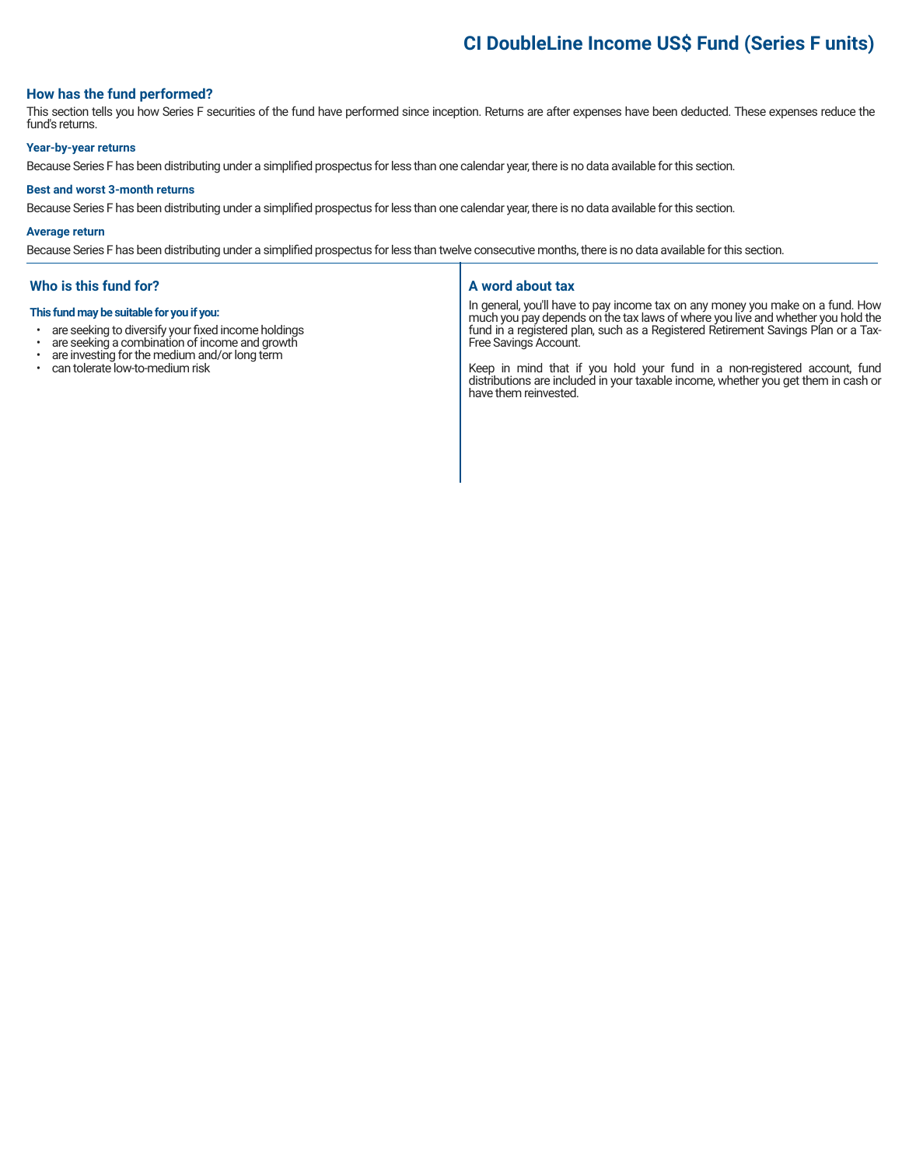# **CI DoubleLine Income US\$ Fund (Series F units)**

#### **How has the fund performed?**

This section tells you how Series F securities of the fund have performed since inception. Returns are after expenses have been deducted. These expenses reduce the fund's returns.

#### **Year-by-year returns**

Because Series F has been distributing under a simplified prospectus for less than one calendar year, there is no data available for this section.

#### **Best and worst 3-month returns**

Because Series F has been distributing under a simplified prospectus for less than one calendar year, there is no data available for this section.

#### **Average return**

Because Series F has been distributing under a simplified prospectus for less than twelve consecutive months, there is no data available for this section.

#### **Who is this fund for?**

#### **This fund may be suitable for you if you:**

- are seeking to diversify your fixed income holdings<br>• are seeking a combination of income and growth
- are seeking a combination of income and growth  $\cdot$  are investing for the medium and/or long term
- are investing for the medium and/or long term
- can tolerate low-to-medium risk

#### **A word about tax**

In general, you'll have to pay income tax on any money you make on a fund. How much you pay depends on the tax laws of where you live and whether you hold the fund in a registered plan, such as a Registered Retirement Savings Plan or a Tax-Free Savings Account.

Keep in mind that if you hold your fund in a non-registered account, fund distributions are included in your taxable income, whether you get them in cash or have them reinvested.